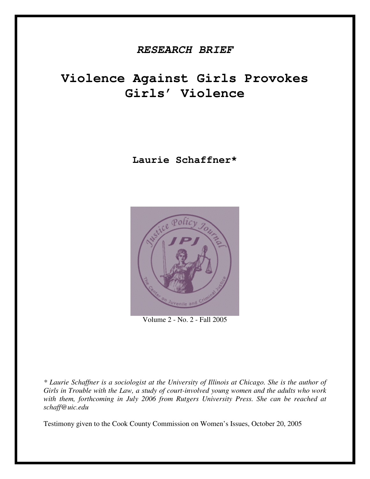# *RESEARCH BRIEF*

# **Violence Against Girls Provokes Girls' Violence**

**Laurie Schaffner\***



Volume 2 - No. 2 - Fall 2005

*\* Laurie Schaffner is a sociologist at the University of Illinois at Chicago. She is the author of Girls in Trouble with the Law, a study of court-involved young women and the adults who work with them, forthcoming in July 2006 from Rutgers University Press. She can be reached at schaff@uic.edu*

Testimony given to the Cook County Commission on Women's Issues, October 20, 2005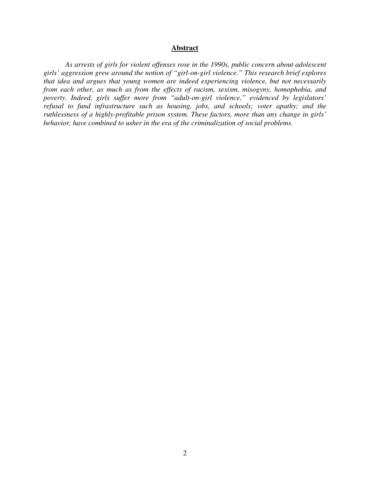#### **Abstract**

*As arrests of girls for violent offenses rose in the 1990s, public concern about adolescent girls' aggression grew around the notion of "girl-on-girl violence." This research brief explores that idea and argues that young women are indeed experiencing violence, but not necessarily from each other, as much as from the effects of racism, sexism, misogyny, homophobia, and poverty. Indeed, girls suffer more from "adult-on-girl violence," evidenced by legislators' refusal to fund infrastructure such as housing, jobs, and schools; voter apathy; and the ruthlessness of a highly-profitable prison system. These factors, more than any change in girls' behavior, have combined to usher in the era of the criminalization of social problems.*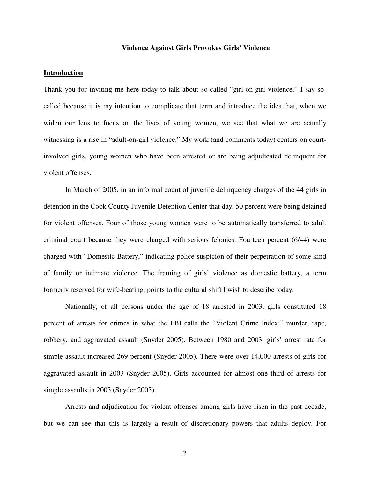#### **Violence Against Girls Provokes Girls' Violence**

#### **Introduction**

Thank you for inviting me here today to talk about so-called "girl-on-girl violence." I say socalled because it is my intention to complicate that term and introduce the idea that, when we widen our lens to focus on the lives of young women, we see that what we are actually witnessing is a rise in "adult-on-girl violence." My work (and comments today) centers on courtinvolved girls, young women who have been arrested or are being adjudicated delinquent for violent offenses.

In March of 2005, in an informal count of juvenile delinquency charges of the 44 girls in detention in the Cook County Juvenile Detention Center that day, 50 percent were being detained for violent offenses. Four of those young women were to be automatically transferred to adult criminal court because they were charged with serious felonies. Fourteen percent (6/44) were charged with "Domestic Battery," indicating police suspicion of their perpetration of some kind of family or intimate violence. The framing of girls' violence as domestic battery, a term formerly reserved for wife-beating, points to the cultural shift I wish to describe today.

Nationally, of all persons under the age of 18 arrested in 2003, girls constituted 18 percent of arrests for crimes in what the FBI calls the "Violent Crime Index:" murder, rape, robbery, and aggravated assault (Snyder 2005). Between 1980 and 2003, girls' arrest rate for simple assault increased 269 percent (Snyder 2005). There were over 14,000 arrests of girls for aggravated assault in 2003 (Snyder 2005). Girls accounted for almost one third of arrests for simple assaults in 2003 (Snyder 2005).

Arrests and adjudication for violent offenses among girls have risen in the past decade, but we can see that this is largely a result of discretionary powers that adults deploy. For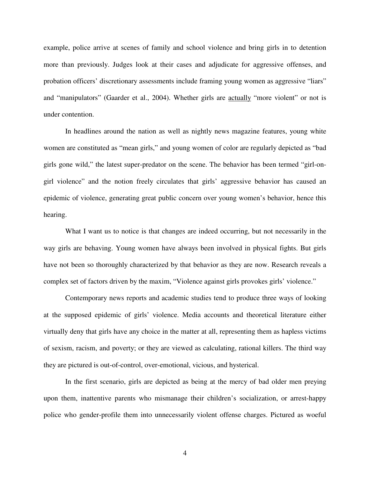example, police arrive at scenes of family and school violence and bring girls in to detention more than previously. Judges look at their cases and adjudicate for aggressive offenses, and probation officers' discretionary assessments include framing young women as aggressive "liars" and "manipulators" (Gaarder et al., 2004). Whether girls are <u>actually</u> "more violent" or not is under contention.

In headlines around the nation as well as nightly news magazine features, young white women are constituted as "mean girls," and young women of color are regularly depicted as "bad girls gone wild," the latest super-predator on the scene. The behavior has been termed " girl-ongirl violence" and the notion freely circulates that girls' aggressive behavior has caused an epidemic of violence, generating great public concern over young women's behavior, hence this hearing.

What I want us to notice is that changes are indeed occurring, but not necessarily in the way girls are behaving. Young women have always been involved in physical fights. But girls have not been so thoroughly characterized by that behavior as they are now. Research reveals a complex set of factors driven by the maxim, "Violence against girls provokes girls' violence."

Contemporary news reports and academic studies tend to produce three ways of looking at the supposed epidemic of girls' violence. Media accounts and theoretical literature either virtually deny that girls have any choice in the matter at all, representing them as hapless victims of sexism, racism, and poverty; or they are viewed as calculating, rational killers. The third way they are pictured is out-of-control, over-emotional, vicious, and hysterical.

In the first scenario, girls are depicted as being at the mercy of bad older men preying upon them, inattentive parents who mismanage their children's socialization, or arrest-happy police who gender-profile them into unnecessarily violent offense charges. Pictured as woeful

4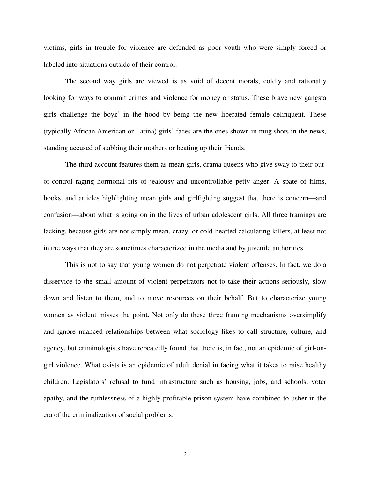victims, girls in trouble for violence are defended as poor youth who were simply forced or labeled into situations outside of their control.

The second way girls are viewed is as void of decent morals, coldly and rationally looking for ways to commit crimes and violence for money or status. These brave new gangsta girls challenge the boyz' in the hood by being the new liberated female delinquent. These (typically African American or Latina) girls' faces are the ones shown in mug shots in the news, standing accused of stabbing their mothers or beating up their friends.

The third account features them as mean girls, drama queens who give sway to their outof-control raging hormonal fits of jealousy and uncontrollable petty anger. A spate of films, books, and articles highlighting mean girls and girlfighting suggest that there is concern—and confusion—about what is going on in the lives of urban adolescent girls. All three framings are lacking, because girls are not simply mean, crazy, or cold-hearted calculating killers, at least not in the ways that they are sometimes characterized in the media and by juvenile authorities.

This is not to say that young women do not perpetrate violent offenses. In fact, we do a disservice to the small amount of violent perpetrators not to take their actions seriously, slow down and listen to them, and to move resources on their behalf. But to characterize young women as violent misses the point. Not only do these three framing mechanisms oversimplify and ignore nuanced relationships between what sociology likes to call structure, culture, and agency, but criminologists have repeatedly found that there is, in fact, not an epidemic of girl-ongirl violence. What exists is an epidemic of adult denial in facing what it takes to raise healthy children. Legislators' refusal to fund infrastructure such as housing, jobs, and schools; voter apathy, and the ruthlessness of a highly-profitable prison system have combined to usher in the era of the criminalization of social problems.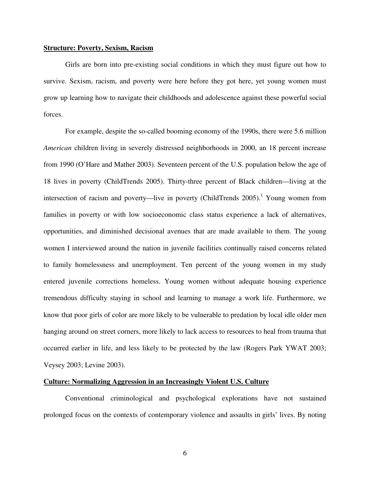#### **Structure: Poverty, Sexism, Racism**

Girls are born into pre-existing social conditions in which they must figure out how to survive. Sexism, racism, and poverty were here before they got here, yet young women must grow up learning how to navigate their childhoods and adolescence against these powerful social forces.

For example, despite the so-called booming economy of the 1990s, there were 5.6 million *American* children living in severely distressed neighborhoods in 2000, an 18 percent increase from 1990 (O' Hare and Mather 2003). Seventeen percent of the U.S. population below the age of 18 lives in poverty (ChildTrends 2005). Thirty-three percent of Black children— living at the intersection of racism and poverty—live in poverty (ChildTrends 2005).<sup>1</sup> Young women from families in poverty or with low socioeconomic class status experience a lack of alternatives, opportunities, and diminished decisional avenues that are made available to them. The young women I interviewed around the nation in juvenile facilities continually raised concerns related to family homelessness and unemployment. Ten percent of the young women in my study entered juvenile corrections homeless. Young women without adequate housing experience tremendous difficulty staying in school and learning to manage a work life. Furthermore, we know that poor girls of color are more likely to be vulnerable to predation by local idle older men hanging around on street corners, more likely to lack access to resources to heal from trauma that occurred earlier in life, and less likely to be protected by the law (Rogers Park YWAT 2003; Veysey 2003; Levine 2003).

#### **Culture: Normalizing Aggression in an Increasingly Violent U.S. Culture**

Conventional criminological and psychological explorations have not sustained prolonged focus on the contexts of contemporary violence and assaults in girls' lives. By noting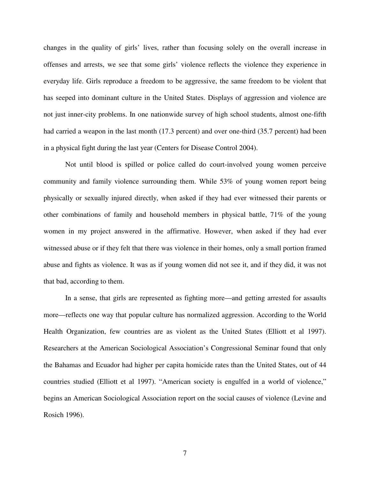changes in the quality of girls' lives, rather than focusing solely on the overall increase in offenses and arrests, we see that some girls' violence reflects the violence they experience in everyday life. Girls reproduce a freedom to be aggressive, the same freedom to be violent that has seeped into dominant culture in the United States. Displays of aggression and violence are not just inner-city problems. In one nationwide survey of high school students, almost one-fifth had carried a weapon in the last month (17.3 percent) and over one-third (35.7 percent) had been in a physical fight during the last year (Centers for Disease Control 2004).

Not until blood is spilled or police called do court-involved young women perceive community and family violence surrounding them. While 53% of young women report being physically or sexually injured directly, when asked if they had ever witnessed their parents or other combinations of family and household members in physical battle, 71% of the young women in my project answered in the affirmative. However, when asked if they had ever witnessed abuse or if they felt that there was violence in their homes, only a small portion framed abuse and fights as violence. It was as if young women did not see it, and if they did, it was not that bad, according to them.

In a sense, that girls are represented as fighting more— and getting arrested for assaults more— reflects one way that popular culture has normalized aggression. According to the World Health Organization, few countries are as violent as the United States (Elliott et al 1997). Researchers at the American Sociological Association's Congressional Seminar found that only the Bahamas and Ecuador had higher per capita homicide rates than the United States, out of 44 countries studied (Elliott et al 1997). " American society is engulfed in a world of violence," begins an American Sociological Association report on the social causes of violence (Levine and Rosich 1996).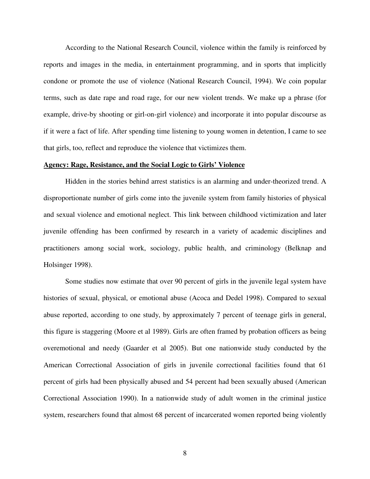According to the National Research Council, violence within the family is reinforced by reports and images in the media, in entertainment programming, and in sports that implicitly condone or promote the use of violence (National Research Council, 1994). We coin popular terms, such as date rape and road rage, for our new violent trends. We make up a phrase (for example, drive-by shooting or girl-on-girl violence) and incorporate it into popular discourse as if it were a fact of life. After spending time listening to young women in detention, I came to see that girls, too, reflect and reproduce the violence that victimizes them.

#### **Agency: Rage, Resistance, and the Social Logic to Girls' Violence**

Hidden in the stories behind arrest statistics is an alarming and under-theorized trend. A disproportionate number of girls come into the juvenile system from family histories of physical and sexual violence and emotional neglect. This link between childhood victimization and later juvenile offending has been confirmed by research in a variety of academic disciplines and practitioners among social work, sociology, public health, and criminology (Belknap and Holsinger 1998).

Some studies now estimate that over 90 percent of girls in the juvenile legal system have histories of sexual, physical, or emotional abuse (Acoca and Dedel 1998). Compared to sexual abuse reported, according to one study, by approximately 7 percent of teenage girls in general, this figure is staggering (Moore et al 1989). Girls are often framed by probation officers as being overemotional and needy (Gaarder et al 2005). But one nationwide study conducted by the American Correctional Association of girls in juvenile correctional facilities found that 61 percent of girls had been physically abused and 54 percent had been sexually abused (American Correctional Association 1990). In a nationwide study of adult women in the criminal justice system, researchers found that almost 68 percent of incarcerated women reported being violently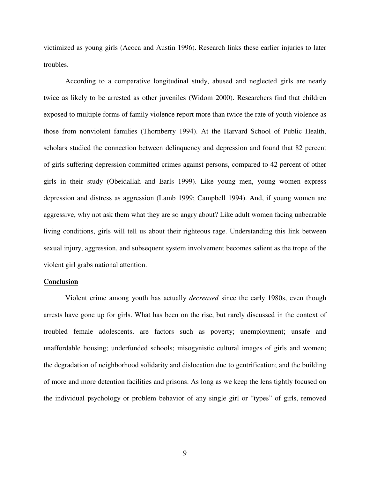victimized as young girls (Acoca and Austin 1996). Research links these earlier injuries to later troubles.

According to a comparative longitudinal study, abused and neglected girls are nearly twice as likely to be arrested as other juveniles (Widom 2000). Researchers find that children exposed to multiple forms of family violence report more than twice the rate of youth violence as those from nonviolent families (Thornberry 1994). At the Harvard School of Public Health, scholars studied the connection between delinquency and depression and found that 82 percent of girls suffering depression committed crimes against persons, compared to 42 percent of other girls in their study (Obeidallah and Earls 1999). Like young men, young women express depression and distress as aggression (Lamb 1999; Campbell 1994). And, if young women are aggressive, why not ask them what they are so angry about? Like adult women facing unbearable living conditions, girls will tell us about their righteous rage. Understanding this link between sexual injury, aggression, and subsequent system involvement becomes salient as the trope of the violent girl grabs national attention.

#### **Conclusion**

Violent crime among youth has actually *decreased* since the early 1980s, even though arrests have gone up for girls. What has been on the rise, but rarely discussed in the context of troubled female adolescents, are factors such as poverty; unemployment; unsafe and unaffordable housing; underfunded schools; misogynistic cultural images of girls and women; the degradation of neighborhood solidarity and dislocation due to gentrification; and the building of more and more detention facilities and prisons. As long as we keep the lens tightly focused on the individual psychology or problem behavior of any single girl or " types" of girls, removed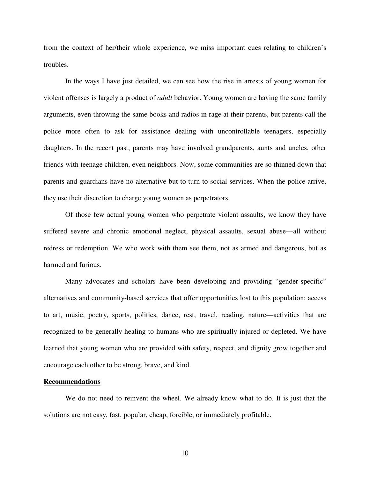from the context of her/their whole experience, we miss important cues relating to children's troubles.

In the ways I have just detailed, we can see how the rise in arrests of young women for violent offenses is largely a product of *adult* behavior. Young women are having the same family arguments, even throwing the same books and radios in rage at their parents, but parents call the police more often to ask for assistance dealing with uncontrollable teenagers, especially daughters. In the recent past, parents may have involved grandparents, aunts and uncles, other friends with teenage children, even neighbors. Now, some communities are so thinned down that parents and guardians have no alternative but to turn to social services. When the police arrive, they use their discretion to charge young women as perpetrators.

Of those few actual young women who perpetrate violent assaults, we know they have suffered severe and chronic emotional neglect, physical assaults, sexual abuse—all without redress or redemption. We who work with them see them, not as armed and dangerous, but as harmed and furious.

Many advocates and scholars have been developing and providing "gender-specific" alternatives and community-based services that offer opportunities lost to this population: access to art, music, poetry, sports, politics, dance, rest, travel, reading, nature— activities that are recognized to be generally healing to humans who are spiritually injured or depleted. We have learned that young women who are provided with safety, respect, and dignity grow together and encourage each other to be strong, brave, and kind.

#### **Recommendations**

We do not need to reinvent the wheel. We already know what to do. It is just that the solutions are not easy, fast, popular, cheap, forcible, or immediately profitable.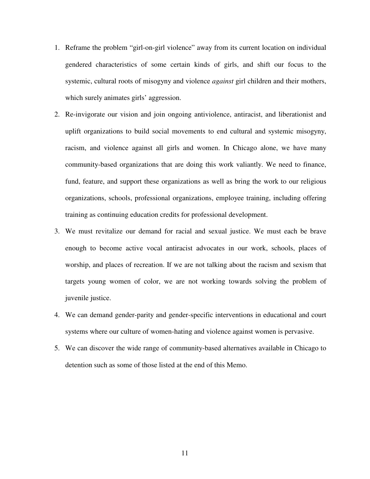- 1. Reframe the problem "girl-on-girl violence" away from its current location on individual gendered characteristics of some certain kinds of girls, and shift our focus to the systemic, cultural roots of misogyny and violence *against* girl children and their mothers, which surely animates girls' aggression.
- 2. Re-invigorate our vision and join ongoing antiviolence, antiracist, and liberationist and uplift organizations to build social movements to end cultural and systemic misogyny, racism, and violence against all girls and women. In Chicago alone, we have many community-based organizations that are doing this work valiantly. We need to finance, fund, feature, and support these organizations as well as bring the work to our religious organizations, schools, professional organizations, employee training, including offering training as continuing education credits for professional development.
- 3. We must revitalize our demand for racial and sexual justice. We must each be brave enough to become active vocal antiracist advocates in our work, schools, places of worship, and places of recreation. If we are not talking about the racism and sexism that targets young women of color, we are not working towards solving the problem of juvenile justice.
- 4. We can demand gender-parity and gender-specific interventions in educational and court systems where our culture of women-hating and violence against women is pervasive.
- 5. We can discover the wide range of community-based alternatives available in Chicago to detention such as some of those listed at the end of this Memo.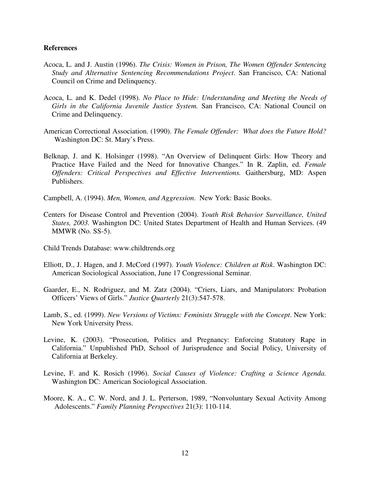#### **References**

- Acoca, L. and J. Austin (1996). *The Crisis: Women in Prison, The Women Offender Sentencing Study and Alternative Sentencing Recommendations Project*. San Francisco, CA: National Council on Crime and Delinquency.
- Acoca, L. and K. Dedel (1998). *No Place to Hide: Understanding and Meeting the Needs of Girls in the California Juvenile Justice System.* San Francisco, CA: National Council on Crime and Delinquency.
- American Correctional Association. (1990). *The Female Offender: What does the Future Hold?* Washington DC: St. Mary's Press.
- Belknap, J. and K. Holsinger (1998). " An Overview of Delinquent Girls: How Theory and Practice Have Failed and the Need for Innovative Changes." In R. Zaplin, ed. *Female Offenders: Critical Perspectives and Effective Interventions.* Gaithersburg, MD: Aspen Publishers.

Campbell, A. (1994). *Men, Women, and Aggression*. New York: Basic Books.

- Centers for Disease Control and Prevention (2004). *Youth Risk Behavior Surveillance, United States, 2003.* Washington DC: United States Department of Health and Human Services. (49 MMWR (No. SS-5).
- Child Trends Database: www.childtrends.org
- Elliott, D., J. Hagen, and J. McCord (1997). *Youth Violence: Children at Risk*. Washington DC: American Sociological Association, June 17 Congressional Seminar.
- Gaarder, E., N. Rodriguez, and M. Zatz (2004). "Criers, Liars, and Manipulators: Probation Officers' Views of Girls." *Justice Quarterly* 21(3):547-578.
- Lamb, S., ed. (1999). *New Versions of Victims: Feminists Struggle with the Concept*. New York: New York University Press.
- Levine, K. (2003). " Prosecution, Politics and Pregnancy: Enforcing Statutory Rape in California." Unpublished PhD, School of Jurisprudence and Social Policy, University of California at Berkeley.
- Levine, F. and K. Rosich (1996). *Social Causes of Violence: Crafting a Science Agenda.* Washington DC: American Sociological Association.
- Moore, K. A., C. W. Nord, and J. L. Perterson, 1989, " Nonvoluntary Sexual Activity Among Adolescents." *Family Planning Perspectives* 21(3): 110-114.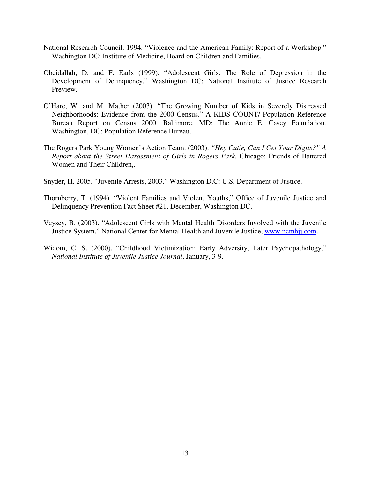- National Research Council. 1994. " Violence and the American Family: Report of a Workshop." Washington DC: Institute of Medicine, Board on Children and Families.
- Obeidallah, D. and F. Earls (1999). " Adolescent Girls: The Role of Depression in the Development of Delinquency." Washington DC: National Institute of Justice Research Preview.
- O' Hare, W. and M. Mather (2003). " The Growing Number of Kids in Severely Distressed Neighborhoods: Evidence from the 2000 Census." A KIDS COUNT/ Population Reference Bureau Report on Census 2000. Baltimore, MD: The Annie E. Casey Foundation. Washington, DC: Population Reference Bureau.
- The Rogers Park Young Women's Action Team. (2003). *" Hey Cutie, Can I Get Your Digits?" A Report about the Street Harassment of Girls in Rogers Park.* Chicago: Friends of Battered Women and Their Children,.
- Snyder, H. 2005. "Juvenile Arrests, 2003." Washington D.C: U.S. Department of Justice.
- Thornberry, T. (1994). "Violent Families and Violent Youths," Office of Juvenile Justice and Delinquency Prevention Fact Sheet #21, December, Washington DC.
- Veysey, B. (2003). " Adolescent Girls with Mental Health Disorders Involved with the Juvenile Justice System," National Center for Mental Health and Juvenile Justice, www.ncmhjj.com.
- Widom, C. S. (2000). "Childhood Victimization: Early Adversity, Later Psychopathology," *National Institute of Juvenile Justice Journal*, January, 3-9.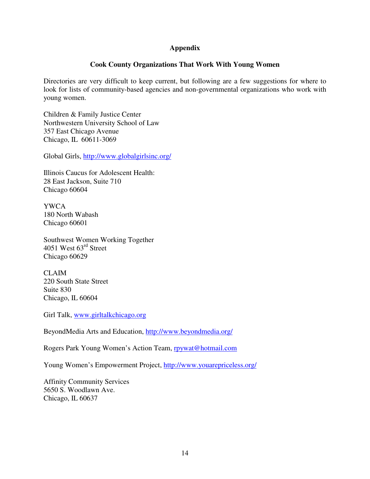### **Appendix**

## **Cook County Organizations That Work With Young Women**

Directories are very difficult to keep current, but following are a few suggestions for where to look for lists of community-based agencies and non-governmental organizations who work with young women.

Children & Family Justice Center Northwestern University School of Law 357 East Chicago Avenue Chicago, IL 60611-3069

Global Girls, http://www.globalgirlsinc.org/

Illinois Caucus for Adolescent Health: 28 East Jackson, Suite 710 Chicago 60604

YWCA 180 North Wabash Chicago 60601

Southwest Women Working Together 4051 West 63<sup>rd</sup> Street Chicago 60629

CLAIM 220 South State Street Suite 830 Chicago, IL 60604

Girl Talk, www.girltalkchicago.org

BeyondMedia Arts and Education, http://www.beyondmedia.org/

Rogers Park Young Women's Action Team, **rpywat@hotmail.com** 

Young Women's Empowerment Project, http://www.youarepriceless.org/

Affinity Community Services 5650 S. Woodlawn Ave. Chicago, IL 60637